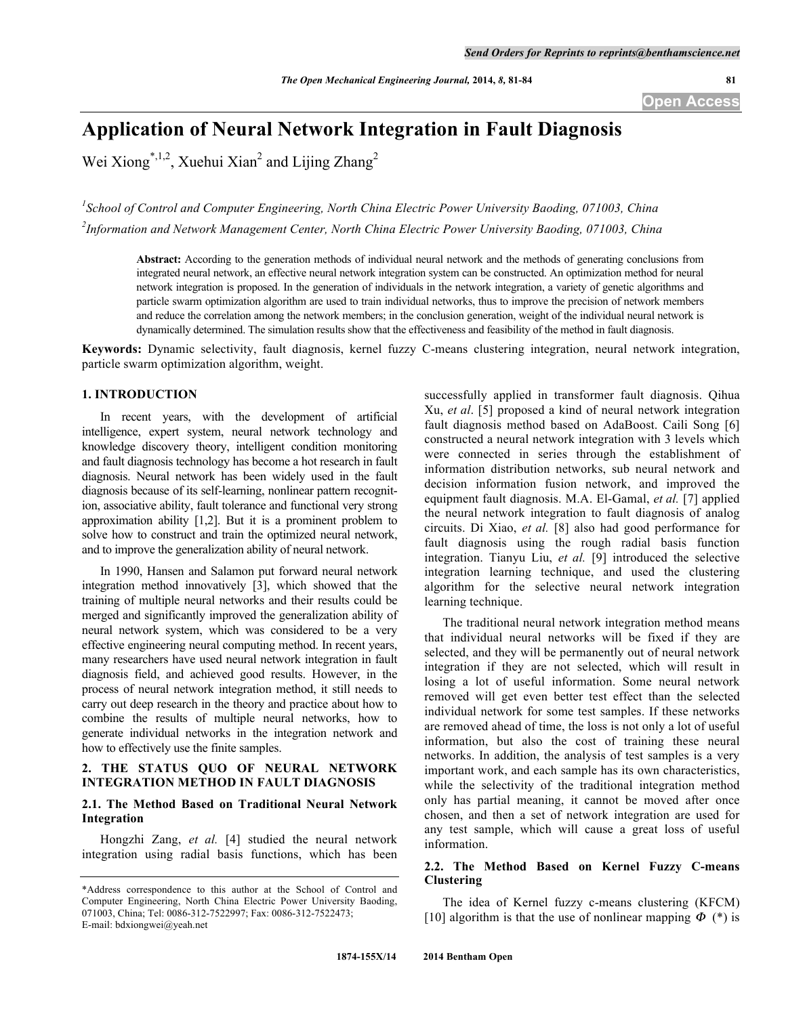# **Application of Neural Network Integration in Fault Diagnosis**

Wei Xiong<sup>\*,1,2</sup>, Xuehui Xian<sup>2</sup> and Lijing Zhang<sup>2</sup>

*1 School of Control and Computer Engineering, North China Electric Power University Baoding, 071003, China*

*2 Information and Network Management Center, North China Electric Power University Baoding, 071003, China*

**Abstract:** According to the generation methods of individual neural network and the methods of generating conclusions from integrated neural network, an effective neural network integration system can be constructed. An optimization method for neural network integration is proposed. In the generation of individuals in the network integration, a variety of genetic algorithms and particle swarm optimization algorithm are used to train individual networks, thus to improve the precision of network members and reduce the correlation among the network members; in the conclusion generation, weight of the individual neural network is dynamically determined. The simulation results show that the effectiveness and feasibility of the method in fault diagnosis.

**Keywords:** Dynamic selectivity, fault diagnosis, kernel fuzzy C-means clustering integration, neural network integration, particle swarm optimization algorithm, weight.

# **1. INTRODUCTION**

In recent years, with the development of artificial intelligence, expert system, neural network technology and knowledge discovery theory, intelligent condition monitoring and fault diagnosis technology has become a hot research in fault diagnosis. Neural network has been widely used in the fault diagnosis because of its self-learning, nonlinear pattern recognition, associative ability, fault tolerance and functional very strong approximation ability [1,2]. But it is a prominent problem to solve how to construct and train the optimized neural network, and to improve the generalization ability of neural network.

In 1990, Hansen and Salamon put forward neural network integration method innovatively [3], which showed that the training of multiple neural networks and their results could be merged and significantly improved the generalization ability of neural network system, which was considered to be a very effective engineering neural computing method. In recent years, many researchers have used neural network integration in fault diagnosis field, and achieved good results. However, in the process of neural network integration method, it still needs to carry out deep research in the theory and practice about how to combine the results of multiple neural networks, how to generate individual networks in the integration network and how to effectively use the finite samples.

# **2. THE STATUS QUO OF NEURAL NETWORK INTEGRATION METHOD IN FAULT DIAGNOSIS**

# **2.1. The Method Based on Traditional Neural Network Integration**

Hongzhi Zang, *et al.* [4] studied the neural network integration using radial basis functions, which has been successfully applied in transformer fault diagnosis. Qihua Xu, *et al*. [5] proposed a kind of neural network integration fault diagnosis method based on AdaBoost. Caili Song [6] constructed a neural network integration with 3 levels which were connected in series through the establishment of information distribution networks, sub neural network and decision information fusion network, and improved the equipment fault diagnosis. M.A. El-Gamal, *et al.* [7] applied the neural network integration to fault diagnosis of analog circuits. Di Xiao, *et al.* [8] also had good performance for fault diagnosis using the rough radial basis function integration. Tianyu Liu, *et al.* [9] introduced the selective integration learning technique, and used the clustering algorithm for the selective neural network integration learning technique.

The traditional neural network integration method means that individual neural networks will be fixed if they are selected, and they will be permanently out of neural network integration if they are not selected, which will result in losing a lot of useful information. Some neural network removed will get even better test effect than the selected individual network for some test samples. If these networks are removed ahead of time, the loss is not only a lot of useful information, but also the cost of training these neural networks. In addition, the analysis of test samples is a very important work, and each sample has its own characteristics, while the selectivity of the traditional integration method only has partial meaning, it cannot be moved after once chosen, and then a set of network integration are used for any test sample, which will cause a great loss of useful information.

# **2.2. The Method Based on Kernel Fuzzy C-means Clustering**

The idea of Kernel fuzzy c-means clustering (KFCM) [10] algorithm is that the use of nonlinear mapping  $\Phi$  (\*) is

<sup>\*</sup>Address correspondence to this author at the School of Control and Computer Engineering, North China Electric Power University Baoding, 071003, China; Tel: 0086-312-7522997; Fax: 0086-312-7522473; E-mail: bdxiongwei@yeah.net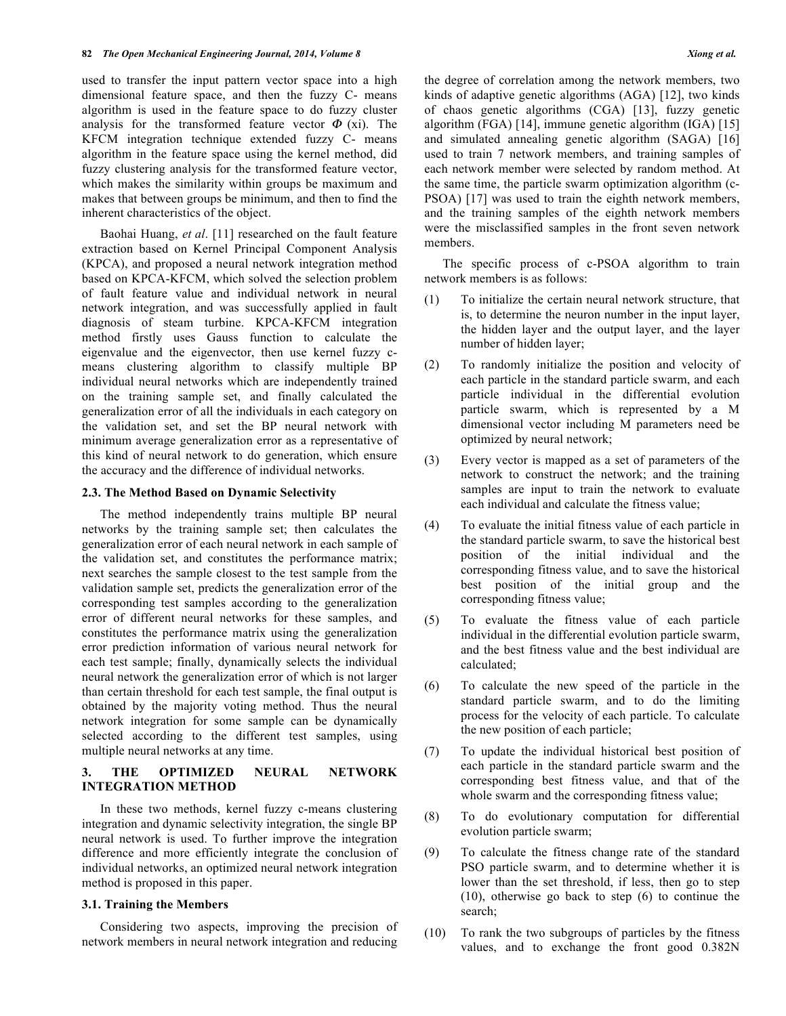used to transfer the input pattern vector space into a high dimensional feature space, and then the fuzzy C- means algorithm is used in the feature space to do fuzzy cluster analysis for the transformed feature vector  $\Phi$  (xi). The KFCM integration technique extended fuzzy C- means algorithm in the feature space using the kernel method, did fuzzy clustering analysis for the transformed feature vector, which makes the similarity within groups be maximum and makes that between groups be minimum, and then to find the inherent characteristics of the object.

Baohai Huang, *et al*. [11] researched on the fault feature extraction based on Kernel Principal Component Analysis (KPCA), and proposed a neural network integration method based on KPCA-KFCM, which solved the selection problem of fault feature value and individual network in neural network integration, and was successfully applied in fault diagnosis of steam turbine. KPCA-KFCM integration method firstly uses Gauss function to calculate the eigenvalue and the eigenvector, then use kernel fuzzy cmeans clustering algorithm to classify multiple BP individual neural networks which are independently trained on the training sample set, and finally calculated the generalization error of all the individuals in each category on the validation set, and set the BP neural network with minimum average generalization error as a representative of this kind of neural network to do generation, which ensure the accuracy and the difference of individual networks.

## **2.3. The Method Based on Dynamic Selectivity**

The method independently trains multiple BP neural networks by the training sample set; then calculates the generalization error of each neural network in each sample of the validation set, and constitutes the performance matrix; next searches the sample closest to the test sample from the validation sample set, predicts the generalization error of the corresponding test samples according to the generalization error of different neural networks for these samples, and constitutes the performance matrix using the generalization error prediction information of various neural network for each test sample; finally, dynamically selects the individual neural network the generalization error of which is not larger than certain threshold for each test sample, the final output is obtained by the majority voting method. Thus the neural network integration for some sample can be dynamically selected according to the different test samples, using multiple neural networks at any time.

## **3. THE OPTIMIZED NEURAL NETWORK INTEGRATION METHOD**

In these two methods, kernel fuzzy c-means clustering integration and dynamic selectivity integration, the single BP neural network is used. To further improve the integration difference and more efficiently integrate the conclusion of individual networks, an optimized neural network integration method is proposed in this paper.

## **3.1. Training the Members**

Considering two aspects, improving the precision of network members in neural network integration and reducing

the degree of correlation among the network members, two kinds of adaptive genetic algorithms (AGA) [12], two kinds of chaos genetic algorithms (CGA) [13], fuzzy genetic algorithm (FGA) [14], immune genetic algorithm (IGA) [15] and simulated annealing genetic algorithm (SAGA) [16] used to train 7 network members, and training samples of each network member were selected by random method. At the same time, the particle swarm optimization algorithm (c-PSOA) [17] was used to train the eighth network members, and the training samples of the eighth network members were the misclassified samples in the front seven network members.

The specific process of c-PSOA algorithm to train network members is as follows:

- (1) To initialize the certain neural network structure, that is, to determine the neuron number in the input layer, the hidden layer and the output layer, and the layer number of hidden layer;
- (2) To randomly initialize the position and velocity of each particle in the standard particle swarm, and each particle individual in the differential evolution particle swarm, which is represented by a M dimensional vector including M parameters need be optimized by neural network;
- (3) Every vector is mapped as a set of parameters of the network to construct the network; and the training samples are input to train the network to evaluate each individual and calculate the fitness value;
- (4) To evaluate the initial fitness value of each particle in the standard particle swarm, to save the historical best position of the initial individual and the corresponding fitness value, and to save the historical best position of the initial group and the corresponding fitness value;
- (5) To evaluate the fitness value of each particle individual in the differential evolution particle swarm, and the best fitness value and the best individual are calculated;
- (6) To calculate the new speed of the particle in the standard particle swarm, and to do the limiting process for the velocity of each particle. To calculate the new position of each particle;
- (7) To update the individual historical best position of each particle in the standard particle swarm and the corresponding best fitness value, and that of the whole swarm and the corresponding fitness value;
- (8) To do evolutionary computation for differential evolution particle swarm;
- (9) To calculate the fitness change rate of the standard PSO particle swarm, and to determine whether it is lower than the set threshold, if less, then go to step (10), otherwise go back to step (6) to continue the search;
- (10) To rank the two subgroups of particles by the fitness values, and to exchange the front good 0.382N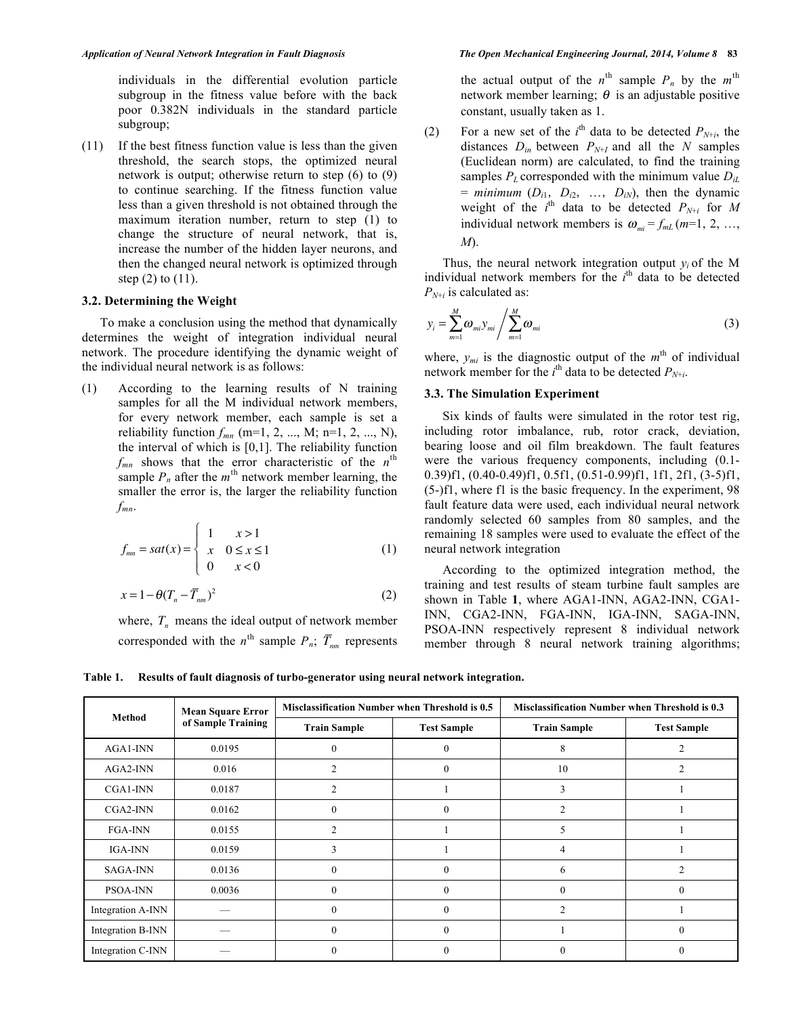individuals in the differential evolution particle subgroup in the fitness value before with the back poor 0.382N individuals in the standard particle subgroup;

(11) If the best fitness function value is less than the given threshold, the search stops, the optimized neural network is output; otherwise return to step (6) to (9) to continue searching. If the fitness function value less than a given threshold is not obtained through the maximum iteration number, return to step (1) to change the structure of neural network, that is, increase the number of the hidden layer neurons, and then the changed neural network is optimized through step (2) to (11).

#### **3.2. Determining the Weight**

To make a conclusion using the method that dynamically determines the weight of integration individual neural network. The procedure identifying the dynamic weight of the individual neural network is as follows:

(1) According to the learning results of N training samples for all the M individual network members, for every network member, each sample is set a reliability function  $f_{mn}$  (m=1, 2, ..., M; n=1, 2, ..., N), the interval of which is [0,1]. The reliability function  $f_{mn}$  shows that the error characteristic of the  $n^{\text{th}}$ sample  $P_n$  after the  $m^{\text{th}}$  network member learning, the smaller the error is, the larger the reliability function *fmn*.

$$
f_{mn} = sat(x) = \begin{cases} 1 & x > 1 \\ x & 0 \le x \le 1 \\ 0 & x < 0 \end{cases}
$$
 (1)

$$
x = 1 - \theta (T_n - \overline{T}_{nm})^2 \tag{2}
$$

where,  $T_n$  means the ideal output of network member corresponded with the  $n^{\text{th}}$  sample  $P_n$ ;  $\overline{T}_{nm}$  represents the actual output of the  $n^{\text{th}}$  sample  $P_n$  by the  $m^{\text{th}}$ network member learning;  $\theta$  is an adjustable positive constant, usually taken as 1.

(2) For a new set of the  $i^{\text{th}}$  data to be detected  $P_{N+i}$ , the distances  $D_{in}$  between  $P_{N+I}$  and all the *N* samples (Euclidean norm) are calculated, to find the training samples  $P_L$  corresponded with the minimum value  $D_{iL}$  $=$  *minimum*  $(D_{i1}, D_{i2}, ..., D_{iN})$ , then the dynamic weight of the  $i^{\text{th}}$  data to be detected  $P_{N+i}$  for M individual network members is  $\omega_{mi} = f_{ml}$  ( $m=1, 2, ...,$ *M*).

Thus, the neural network integration output  $y_i$  of the M individual network members for the  $i<sup>th</sup>$  data to be detected  $P_{N+i}$  is calculated as:

$$
y_i = \sum_{m=1}^{M} \omega_{mi} y_{mi} / \sum_{m=1}^{M} \omega_{mi}
$$
 (3)

where,  $y_{mi}$  is the diagnostic output of the  $m<sup>th</sup>$  of individual network member for the  $i^{\text{th}}$  data to be detected  $P_{N+i}$ .

## **3.3. The Simulation Experiment**

Six kinds of faults were simulated in the rotor test rig, including rotor imbalance, rub, rotor crack, deviation, bearing loose and oil film breakdown. The fault features were the various frequency components, including (0.1- 0.39)f1, (0.40-0.49)f1, 0.5f1, (0.51-0.99)f1, 1f1, 2f1, (3-5)f1, (5-)f1, where f1 is the basic frequency. In the experiment, 98 fault feature data were used, each individual neural network randomly selected 60 samples from 80 samples, and the remaining 18 samples were used to evaluate the effect of the neural network integration

According to the optimized integration method, the training and test results of steam turbine fault samples are shown in Table **1**, where AGA1-INN, AGA2-INN, CGA1- INN, CGA2-INN, FGA-INN, IGA-INN, SAGA-INN, PSOA-INN respectively represent 8 individual network member through 8 neural network training algorithms;

**Table 1. Results of fault diagnosis of turbo-generator using neural network integration.**

| Method            | <b>Mean Square Error</b><br>of Sample Training | Misclassification Number when Threshold is 0.5 |                    | Misclassification Number when Threshold is 0.3 |                    |
|-------------------|------------------------------------------------|------------------------------------------------|--------------------|------------------------------------------------|--------------------|
|                   |                                                | <b>Train Sample</b>                            | <b>Test Sample</b> | <b>Train Sample</b>                            | <b>Test Sample</b> |
| AGA1-INN          | 0.0195                                         | $\theta$                                       | $\theta$           |                                                |                    |
| AGA2-INN          | 0.016                                          | $\overline{2}$                                 | $\Omega$           | 10                                             | $\overline{2}$     |
| CGA1-INN          | 0.0187                                         | $\overline{c}$                                 |                    | 3                                              |                    |
| CGA2-INN          | 0.0162                                         | $\theta$                                       | $\Omega$           | C                                              |                    |
| <b>FGA-INN</b>    | 0.0155                                         | $\mathfrak{D}$                                 |                    |                                                |                    |
| IGA-INN           | 0.0159                                         | 3                                              |                    |                                                |                    |
| <b>SAGA-INN</b>   | 0.0136                                         | $\Omega$                                       | $\Omega$           | 6                                              |                    |
| <b>PSOA-INN</b>   | 0.0036                                         | $\theta$                                       | $\Omega$           |                                                | $\theta$           |
| Integration A-INN |                                                | $\Omega$                                       | $\Omega$           | C                                              |                    |
| Integration B-INN |                                                | $\Omega$                                       | $\Omega$           |                                                | $\Omega$           |
| Integration C-INN |                                                | $\Omega$                                       | 0                  |                                                | 0                  |